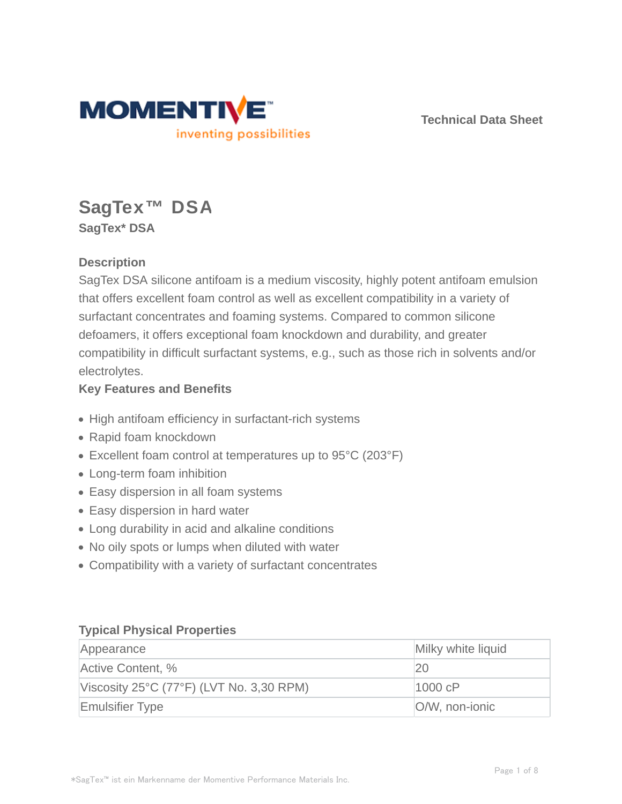

**Technical Data Sheet**

# **SagTex™ DSA SagTex\* DSA**

## **Description**

SagTex DSA silicone antifoam is a medium viscosity, highly potent antifoam emulsion that offers excellent foam control as well as excellent compatibility in a variety of surfactant concentrates and foaming systems. Compared to common silicone defoamers, it offers exceptional foam knockdown and durability, and greater compatibility in difficult surfactant systems, e.g., such as those rich in solvents and/or electrolytes.

## **Key Features and Benefits**

- High antifoam efficiency in surfactant-rich systems
- Rapid foam knockdown
- Excellent foam control at temperatures up to 95°C (203°F)
- Long-term foam inhibition
- Easy dispersion in all foam systems
- Easy dispersion in hard water
- Long durability in acid and alkaline conditions
- No oily spots or lumps when diluted with water
- Compatibility with a variety of surfactant concentrates

## **Typical Physical Properties**

| Appearance                               | Milky white liquid |
|------------------------------------------|--------------------|
| Active Content, %                        | 20                 |
| Viscosity 25°C (77°F) (LVT No. 3,30 RPM) | 1000 cP            |
| <b>Emulsifier Type</b>                   | O/W, non-ionic     |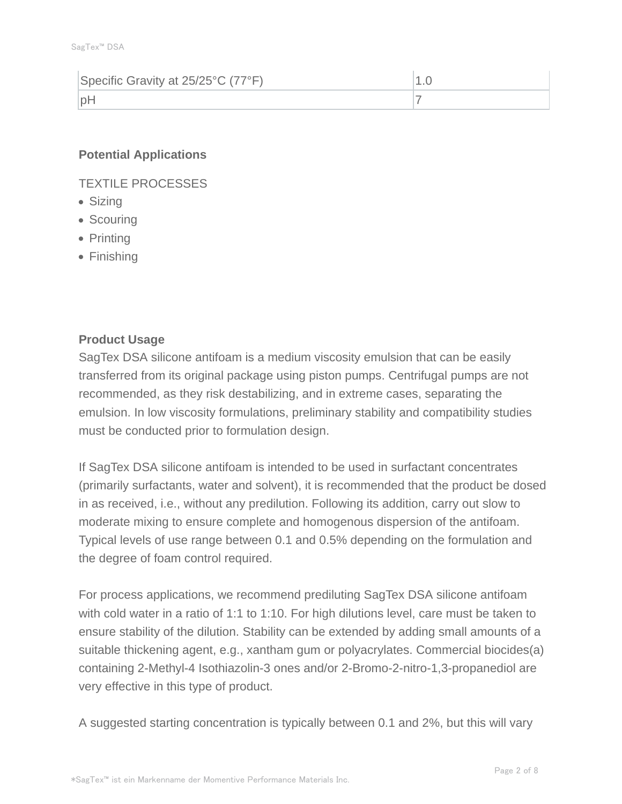| Specific Gravity at 25/25°C (77°F) |  |
|------------------------------------|--|
| nF                                 |  |

## **Potential Applications**

TEXTILE PROCESSES

- Sizing
- Scouring
- Printing
- Finishing

## **Product Usage**

SagTex DSA silicone antifoam is a medium viscosity emulsion that can be easily transferred from its original package using piston pumps. Centrifugal pumps are not recommended, as they risk destabilizing, and in extreme cases, separating the emulsion. In low viscosity formulations, preliminary stability and compatibility studies must be conducted prior to formulation design.

If SagTex DSA silicone antifoam is intended to be used in surfactant concentrates (primarily surfactants, water and solvent), it is recommended that the product be dosed in as received, i.e., without any predilution. Following its addition, carry out slow to moderate mixing to ensure complete and homogenous dispersion of the antifoam. Typical levels of use range between 0.1 and 0.5% depending on the formulation and the degree of foam control required.

For process applications, we recommend prediluting SagTex DSA silicone antifoam with cold water in a ratio of 1:1 to 1:10. For high dilutions level, care must be taken to ensure stability of the dilution. Stability can be extended by adding small amounts of a suitable thickening agent, e.g., xantham gum or polyacrylates. Commercial biocides(a) containing 2-Methyl-4 Isothiazolin-3 ones and/or 2-Bromo-2-nitro-1,3-propanediol are very effective in this type of product.

A suggested starting concentration is typically between 0.1 and 2%, but this will vary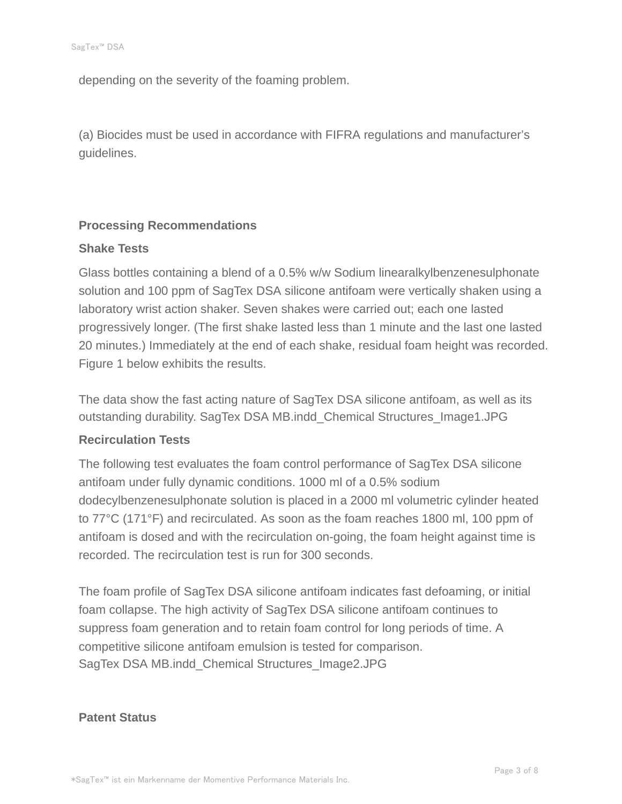depending on the severity of the foaming problem.

(a) Biocides must be used in accordance with FIFRA regulations and manufacturer's guidelines.

## **Processing Recommendations**

#### **Shake Tests**

Glass bottles containing a blend of a 0.5% w/w Sodium linearalkylbenzenesulphonate solution and 100 ppm of SagTex DSA silicone antifoam were vertically shaken using a laboratory wrist action shaker. Seven shakes were carried out; each one lasted progressively longer. (The first shake lasted less than 1 minute and the last one lasted 20 minutes.) Immediately at the end of each shake, residual foam height was recorded. Figure 1 below exhibits the results.

The data show the fast acting nature of SagTex DSA silicone antifoam, as well as its outstanding durability. SagTex DSA MB.indd\_Chemical Structures\_Image1.JPG

## **Recirculation Tests**

The following test evaluates the foam control performance of SagTex DSA silicone antifoam under fully dynamic conditions. 1000 ml of a 0.5% sodium dodecylbenzenesulphonate solution is placed in a 2000 ml volumetric cylinder heated to 77°C (171°F) and recirculated. As soon as the foam reaches 1800 ml, 100 ppm of antifoam is dosed and with the recirculation on-going, the foam height against time is recorded. The recirculation test is run for 300 seconds.

The foam profile of SagTex DSA silicone antifoam indicates fast defoaming, or initial foam collapse. The high activity of SagTex DSA silicone antifoam continues to suppress foam generation and to retain foam control for long periods of time. A competitive silicone antifoam emulsion is tested for comparison. SagTex DSA MB.indd\_Chemical Structures\_Image2.JPG

## **Patent Status**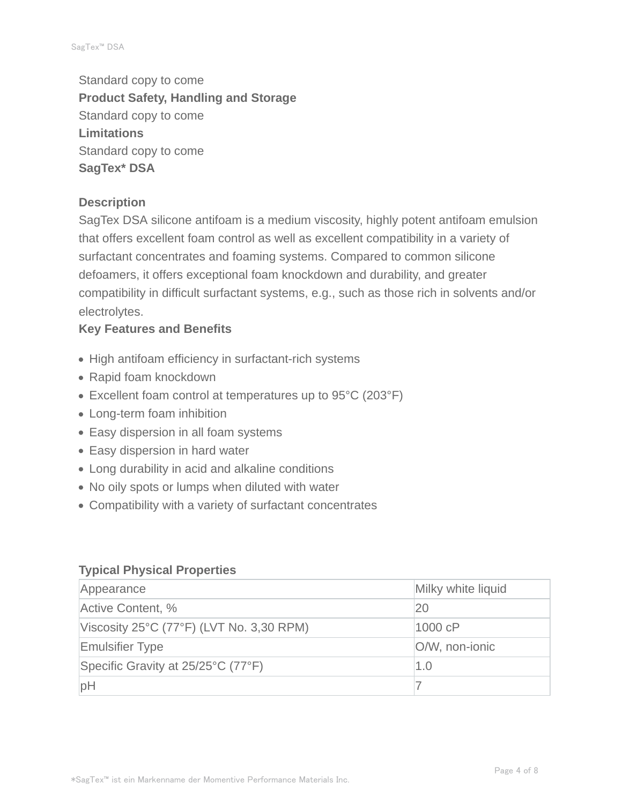Standard copy to come **Product Safety, Handling and Storage** Standard copy to come **Limitations** Standard copy to come **SagTex\* DSA**

## **Description**

SagTex DSA silicone antifoam is a medium viscosity, highly potent antifoam emulsion that offers excellent foam control as well as excellent compatibility in a variety of surfactant concentrates and foaming systems. Compared to common silicone defoamers, it offers exceptional foam knockdown and durability, and greater compatibility in difficult surfactant systems, e.g., such as those rich in solvents and/or electrolytes.

## **Key Features and Benefits**

- High antifoam efficiency in surfactant-rich systems
- Rapid foam knockdown
- Excellent foam control at temperatures up to 95°C (203°F)
- Long-term foam inhibition
- Easy dispersion in all foam systems
- Easy dispersion in hard water
- Long durability in acid and alkaline conditions
- No oily spots or lumps when diluted with water
- Compatibility with a variety of surfactant concentrates

#### **Typical Physical Properties**

| Appearance                                                    | Milky white liquid |  |
|---------------------------------------------------------------|--------------------|--|
| Active Content, %                                             | 20                 |  |
| Viscosity $25^{\circ}$ C (77 $^{\circ}$ F) (LVT No. 3,30 RPM) | 1000 cP            |  |
| <b>Emulsifier Type</b>                                        | O/W, non-ionic     |  |
| Specific Gravity at 25/25°C (77°F)                            | 1.0                |  |
| pH                                                            |                    |  |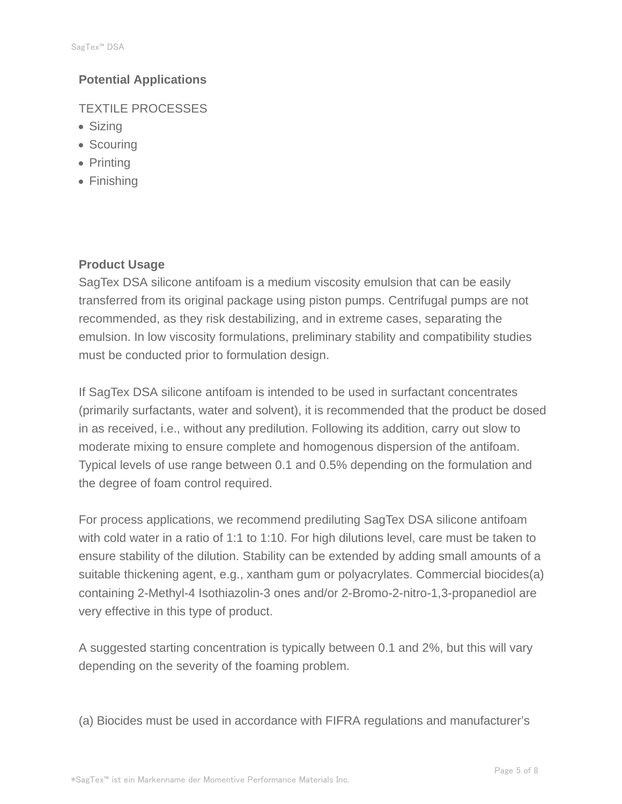## **Potential Applications**

TEXTILE PROCESSES

- Sizing
- Scouring
- Printing
- Finishing

## **Product Usage**

SagTex DSA silicone antifoam is a medium viscosity emulsion that can be easily transferred from its original package using piston pumps. Centrifugal pumps are not recommended, as they risk destabilizing, and in extreme cases, separating the emulsion. In low viscosity formulations, preliminary stability and compatibility studies must be conducted prior to formulation design.

If SagTex DSA silicone antifoam is intended to be used in surfactant concentrates (primarily surfactants, water and solvent), it is recommended that the product be dosed in as received, i.e., without any predilution. Following its addition, carry out slow to moderate mixing to ensure complete and homogenous dispersion of the antifoam. Typical levels of use range between 0.1 and 0.5% depending on the formulation and the degree of foam control required.

For process applications, we recommend prediluting SagTex DSA silicone antifoam with cold water in a ratio of 1:1 to 1:10. For high dilutions level, care must be taken to ensure stability of the dilution. Stability can be extended by adding small amounts of a suitable thickening agent, e.g., xantham gum or polyacrylates. Commercial biocides(a) containing 2-Methyl-4 Isothiazolin-3 ones and/or 2-Bromo-2-nitro-1,3-propanediol are very effective in this type of product.

A suggested starting concentration is typically between 0.1 and 2%, but this will vary depending on the severity of the foaming problem.

(a) Biocides must be used in accordance with FIFRA regulations and manufacturer's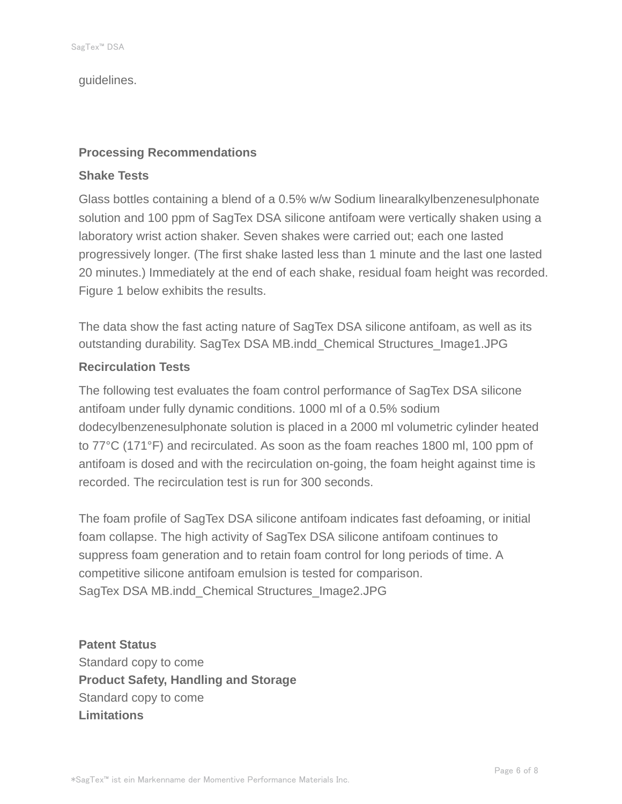guidelines.

## **Processing Recommendations**

#### **Shake Tests**

Glass bottles containing a blend of a 0.5% w/w Sodium linearalkylbenzenesulphonate solution and 100 ppm of SagTex DSA silicone antifoam were vertically shaken using a laboratory wrist action shaker. Seven shakes were carried out; each one lasted progressively longer. (The first shake lasted less than 1 minute and the last one lasted 20 minutes.) Immediately at the end of each shake, residual foam height was recorded. Figure 1 below exhibits the results.

The data show the fast acting nature of SagTex DSA silicone antifoam, as well as its outstanding durability. SagTex DSA MB.indd\_Chemical Structures\_Image1.JPG

## **Recirculation Tests**

The following test evaluates the foam control performance of SagTex DSA silicone antifoam under fully dynamic conditions. 1000 ml of a 0.5% sodium dodecylbenzenesulphonate solution is placed in a 2000 ml volumetric cylinder heated to 77°C (171°F) and recirculated. As soon as the foam reaches 1800 ml, 100 ppm of antifoam is dosed and with the recirculation on-going, the foam height against time is recorded. The recirculation test is run for 300 seconds.

The foam profile of SagTex DSA silicone antifoam indicates fast defoaming, or initial foam collapse. The high activity of SagTex DSA silicone antifoam continues to suppress foam generation and to retain foam control for long periods of time. A competitive silicone antifoam emulsion is tested for comparison. SagTex DSA MB.indd\_Chemical Structures\_Image2.JPG

**Patent Status** Standard copy to come **Product Safety, Handling and Storage** Standard copy to come **Limitations**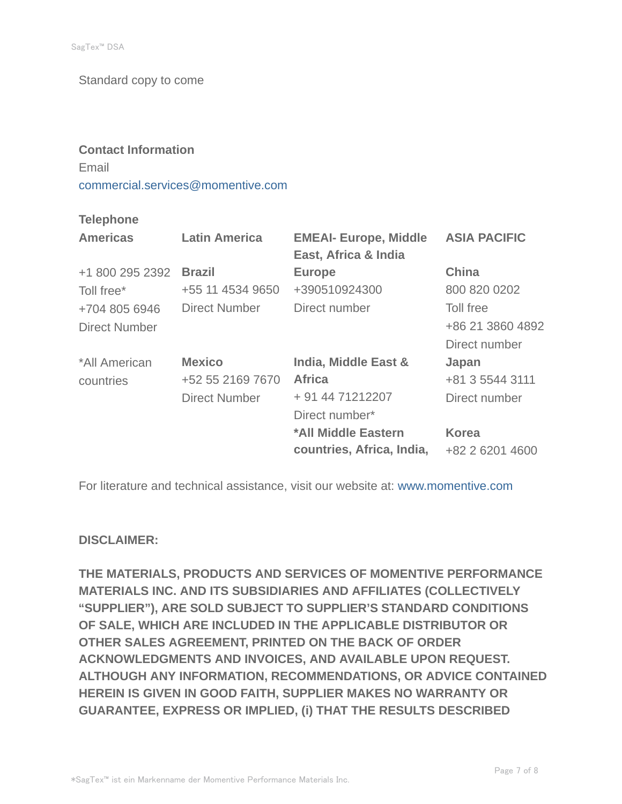Standard copy to come

# **Contact Information** Email commercial.services@momentive.com

## **Telephone**

| <b>Americas</b>      | <b>Latin America</b> | <b>EMEAI- Europe, Middle</b><br>East, Africa & India | <b>ASIA PACIFIC</b> |
|----------------------|----------------------|------------------------------------------------------|---------------------|
| +1 800 295 2392      | <b>Brazil</b>        | <b>Europe</b>                                        | China               |
| Toll free*           | +55 11 4534 9650     | +390510924300                                        | 800 820 0202        |
| +704 805 6946        | <b>Direct Number</b> | Direct number                                        | Toll free           |
| <b>Direct Number</b> |                      |                                                      | +86 21 3860 4892    |
|                      |                      |                                                      | Direct number       |
| *All American        | <b>Mexico</b>        | India, Middle East &                                 | Japan               |
| countries            | +52 55 2169 7670     | <b>Africa</b>                                        | +81 3 5544 3111     |
|                      | <b>Direct Number</b> | + 91 44 71212207                                     | Direct number       |
|                      |                      | Direct number*                                       |                     |
|                      |                      | *All Middle Eastern                                  | <b>Korea</b>        |
|                      |                      | countries, Africa, India,                            | +82 2 6201 4600     |

For literature and technical assistance, visit our website at: www.momentive.com

## **DISCLAIMER:**

**THE MATERIALS, PRODUCTS AND SERVICES OF MOMENTIVE PERFORMANCE MATERIALS INC. AND ITS SUBSIDIARIES AND AFFILIATES (COLLECTIVELY "SUPPLIER"), ARE SOLD SUBJECT TO SUPPLIER'S STANDARD CONDITIONS OF SALE, WHICH ARE INCLUDED IN THE APPLICABLE DISTRIBUTOR OR OTHER SALES AGREEMENT, PRINTED ON THE BACK OF ORDER ACKNOWLEDGMENTS AND INVOICES, AND AVAILABLE UPON REQUEST. ALTHOUGH ANY INFORMATION, RECOMMENDATIONS, OR ADVICE CONTAINED HEREIN IS GIVEN IN GOOD FAITH, SUPPLIER MAKES NO WARRANTY OR GUARANTEE, EXPRESS OR IMPLIED, (i) THAT THE RESULTS DESCRIBED**